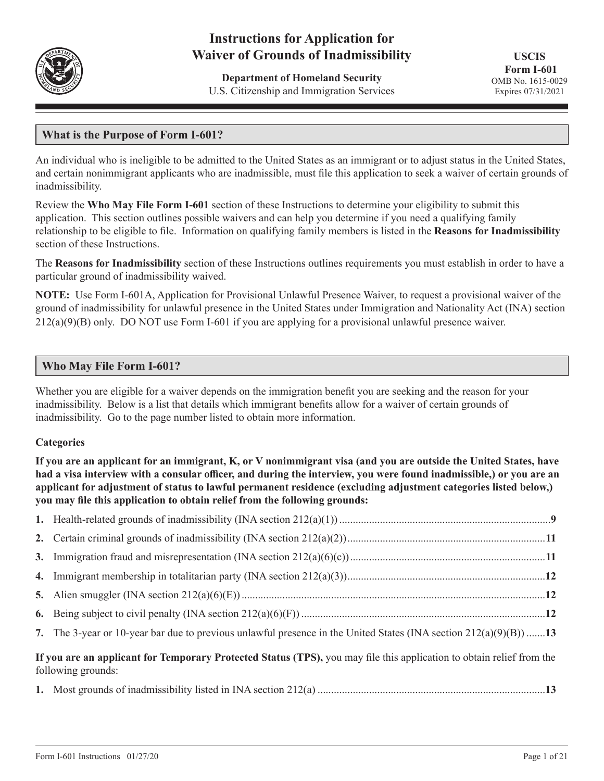

# **Instructions for Application for Waiver of Grounds of Inadmissibility**

**Department of Homeland Security** U.S. Citizenship and Immigration Services

**USCIS Form I-601** OMB No. 1615-0029 Expires 07/31/2021

# **What is the Purpose of Form I-601?**

An individual who is ineligible to be admitted to the United States as an immigrant or to adjust status in the United States, and certain nonimmigrant applicants who are inadmissible, must file this application to seek a waiver of certain grounds of inadmissibility.

Review the **Who May File Form I-601** section of these Instructions to determine your eligibility to submit this application. This section outlines possible waivers and can help you determine if you need a qualifying family relationship to be eligible to file. Information on qualifying family members is listed in the **Reasons for Inadmissibility** section of these Instructions.

The **Reasons for Inadmissibility** section of these Instructions outlines requirements you must establish in order to have a particular ground of inadmissibility waived.

**NOTE:** Use Form I-601A, Application for Provisional Unlawful Presence Waiver, to request a provisional waiver of the ground of inadmissibility for unlawful presence in the United States under Immigration and Nationality Act (INA) section  $212(a)(9)(B)$  only. DO NOT use Form I-601 if you are applying for a provisional unlawful presence waiver.

# **Who May File Form I-601?**

Whether you are eligible for a waiver depends on the immigration benefit you are seeking and the reason for your inadmissibility. Below is a list that details which immigrant benefits allow for a waiver of certain grounds of inadmissibility. Go to the page number listed to obtain more information.

# **Categories**

**If you are an applicant for an immigrant, K, or V nonimmigrant visa (and you are outside the United States, have had a visa interview with a consular officer, and during the interview, you were found inadmissible,) or you are an applicant for adjustment of status to lawful permanent residence (excluding adjustment categories listed below,) you may file this application to obtain relief from the following grounds:**

|                                                                                                                                             | 7. The 3-year or 10-year bar due to previous unlawful presence in the United States (INA section $212(a)(9)(B)$ )13 |  |
|---------------------------------------------------------------------------------------------------------------------------------------------|---------------------------------------------------------------------------------------------------------------------|--|
| If you are an applicant for Temporary Protected Status (TPS), you may file this application to obtain relief from the<br>following grounds: |                                                                                                                     |  |
|                                                                                                                                             |                                                                                                                     |  |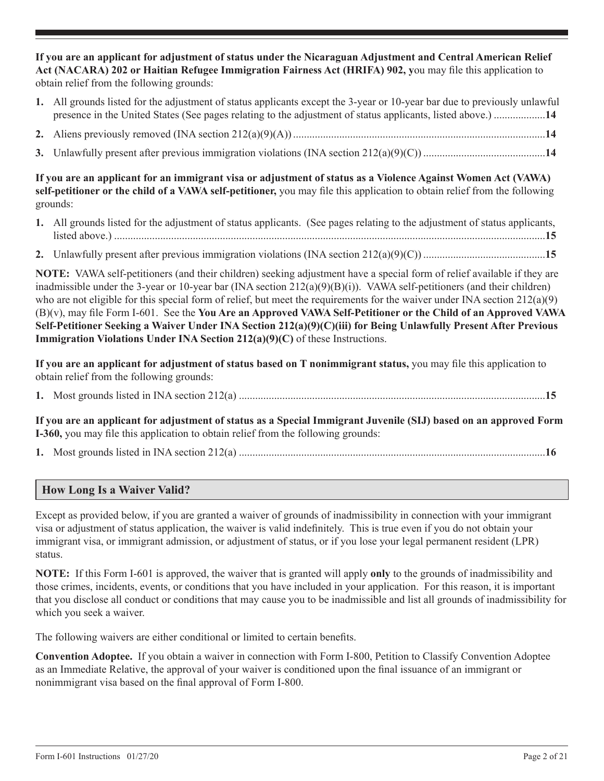**If you are an applicant for adjustment of status under the Nicaraguan Adjustment and Central American Relief Act (NACARA) 202 or Haitian Refugee Immigration Fairness Act (HRIFA) 902, y**ou may file this application to obtain relief from the following grounds:

- **1.** All grounds listed for the adjustment of status applicants except the 3-year or 10-year bar due to previously unlawful presence in the United States (See pages relating to the adjustment of status applicants, listed above.) ...................**14**
- **2.** Aliens previously removed (INA section 212(a)(9)(A)).............................................................................................**14**
- **3.** Unlawfully present after previous immigration violations (INA section 212(a)(9)(C)) .............................................**14**

**If you are an applicant for an immigrant visa or adjustment of status as a Violence Against Women Act (VAWA) self-petitioner or the child of a VAWA self-petitioner,** you may file this application to obtain relief from the following grounds:

- **1.** All grounds listed for the adjustment of status applicants. (See pages relating to the adjustment of status applicants, listed above.) ...............................................................................................................................................................**15**
- **2.** Unlawfully present after previous immigration violations (INA section 212(a)(9)(C)) .............................................**15**

**NOTE:** VAWA self-petitioners (and their children) seeking adjustment have a special form of relief available if they are inadmissible under the 3-year or 10-year bar (INA section  $212(a)(9)(B)(i)$ ). VAWA self-petitioners (and their children) who are not eligible for this special form of relief, but meet the requirements for the waiver under INA section  $212(a)(9)$ (B)(v), may file Form I-601. See the **You Are an Approved VAWA Self-Petitioner or the Child of an Approved VAWA Self-Petitioner Seeking a Waiver Under INA Section 212(a)(9)(C)(iii) for Being Unlawfully Present After Previous Immigration Violations Under INA Section 212(a)(9)(C)** of these Instructions.

**If you are an applicant for adjustment of status based on T nonimmigrant status,** you may file this application to obtain relief from the following grounds:

**1.** Most grounds listed in INA section 212(a) .................................................................................................................**15**

**If you are an applicant for adjustment of status as a Special Immigrant Juvenile (SIJ) based on an approved Form I-360,** you may file this application to obtain relief from the following grounds:

**1.** Most grounds listed in INA section 212(a) .................................................................................................................**16**

# **How Long Is a Waiver Valid?**

Except as provided below, if you are granted a waiver of grounds of inadmissibility in connection with your immigrant visa or adjustment of status application, the waiver is valid indefinitely. This is true even if you do not obtain your immigrant visa, or immigrant admission, or adjustment of status, or if you lose your legal permanent resident (LPR) status.

**NOTE:** If this Form I-601 is approved, the waiver that is granted will apply **only** to the grounds of inadmissibility and those crimes, incidents, events, or conditions that you have included in your application. For this reason, it is important that you disclose all conduct or conditions that may cause you to be inadmissible and list all grounds of inadmissibility for which you seek a waiver.

The following waivers are either conditional or limited to certain benefits.

**Convention Adoptee.** If you obtain a waiver in connection with Form I-800, Petition to Classify Convention Adoptee as an Immediate Relative, the approval of your waiver is conditioned upon the final issuance of an immigrant or nonimmigrant visa based on the final approval of Form I-800.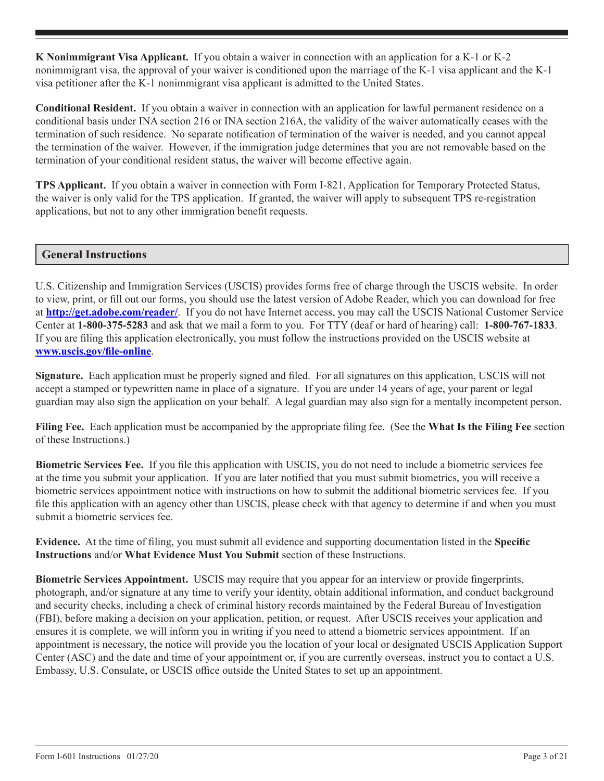**K Nonimmigrant Visa Applicant.** If you obtain a waiver in connection with an application for a K-1 or K-2 nonimmigrant visa, the approval of your waiver is conditioned upon the marriage of the K-1 visa applicant and the K-1 visa petitioner after the K-1 nonimmigrant visa applicant is admitted to the United States.

**Conditional Resident.** If you obtain a waiver in connection with an application for lawful permanent residence on a conditional basis under INA section 216 or INA section 216A, the validity of the waiver automatically ceases with the termination of such residence. No separate notification of termination of the waiver is needed, and you cannot appeal the termination of the waiver. However, if the immigration judge determines that you are not removable based on the termination of your conditional resident status, the waiver will become effective again.

**TPS Applicant.** If you obtain a waiver in connection with Form I-821, Application for Temporary Protected Status, the waiver is only valid for the TPS application. If granted, the waiver will apply to subsequent TPS re-registration applications, but not to any other immigration benefit requests.

# **General Instructions**

U.S. Citizenship and Immigration Services (USCIS) provides forms free of charge through the USCIS website. In order to view, print, or fill out our forms, you should use the latest version of Adobe Reader, which you can download for free at **http://get.adobe.com/reader/**. If you do not have Internet access, you may call the USCIS National Customer Service Center at **1-800-375-5283** and ask that we mail a form to you. For TTY (deaf or hard of hearing) call: **1-800-767-1833**. If you are filing this application electronically, you must follow the instructions provided on the USCIS website at **www.uscis.gov/file-online**.

**Signature.** Each application must be properly signed and filed. For all signatures on this application, USCIS will not accept a stamped or typewritten name in place of a signature. If you are under 14 years of age, your parent or legal guardian may also sign the application on your behalf. A legal guardian may also sign for a mentally incompetent person.

**Filing Fee.** Each application must be accompanied by the appropriate filing fee. (See the **What Is the Filing Fee** section of these Instructions.)

**Biometric Services Fee.** If you file this application with USCIS, you do not need to include a biometric services fee at the time you submit your application. If you are later notified that you must submit biometrics, you will receive a biometric services appointment notice with instructions on how to submit the additional biometric services fee. If you file this application with an agency other than USCIS, please check with that agency to determine if and when you must submit a biometric services fee.

**Evidence.** At the time of filing, you must submit all evidence and supporting documentation listed in the **Specific Instructions** and/or **What Evidence Must You Submit** section of these Instructions.

**Biometric Services Appointment.** USCIS may require that you appear for an interview or provide fingerprints, photograph, and/or signature at any time to verify your identity, obtain additional information, and conduct background and security checks, including a check of criminal history records maintained by the Federal Bureau of Investigation (FBI), before making a decision on your application, petition, or request. After USCIS receives your application and ensures it is complete, we will inform you in writing if you need to attend a biometric services appointment. If an appointment is necessary, the notice will provide you the location of your local or designated USCIS Application Support Center (ASC) and the date and time of your appointment or, if you are currently overseas, instruct you to contact a U.S. Embassy, U.S. Consulate, or USCIS office outside the United States to set up an appointment.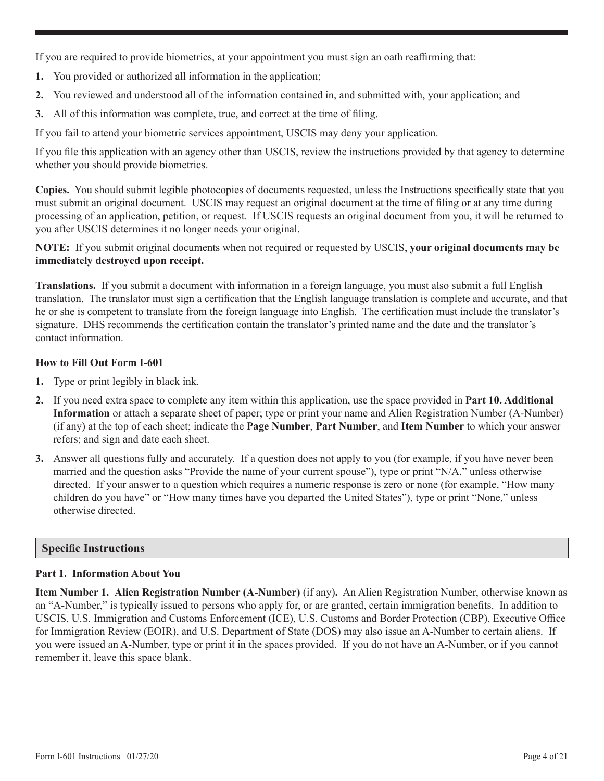If you are required to provide biometrics, at your appointment you must sign an oath reaffirming that:

- **1.** You provided or authorized all information in the application;
- **2.** You reviewed and understood all of the information contained in, and submitted with, your application; and
- **3.** All of this information was complete, true, and correct at the time of filing.

If you fail to attend your biometric services appointment, USCIS may deny your application.

If you file this application with an agency other than USCIS, review the instructions provided by that agency to determine whether you should provide biometrics.

**Copies.** You should submit legible photocopies of documents requested, unless the Instructions specifically state that you must submit an original document. USCIS may request an original document at the time of filing or at any time during processing of an application, petition, or request. If USCIS requests an original document from you, it will be returned to you after USCIS determines it no longer needs your original.

**NOTE:** If you submit original documents when not required or requested by USCIS, **your original documents may be immediately destroyed upon receipt.**

**Translations.** If you submit a document with information in a foreign language, you must also submit a full English translation. The translator must sign a certification that the English language translation is complete and accurate, and that he or she is competent to translate from the foreign language into English. The certification must include the translator's signature. DHS recommends the certification contain the translator's printed name and the date and the translator's contact information.

# **How to Fill Out Form I-601**

- **1.** Type or print legibly in black ink.
- **2.** If you need extra space to complete any item within this application, use the space provided in **Part 10. Additional Information** or attach a separate sheet of paper; type or print your name and Alien Registration Number (A-Number) (if any) at the top of each sheet; indicate the **Page Number**, **Part Number**, and **Item Number** to which your answer refers; and sign and date each sheet.
- **3.** Answer all questions fully and accurately. If a question does not apply to you (for example, if you have never been married and the question asks "Provide the name of your current spouse"), type or print "N/A," unless otherwise directed. If your answer to a question which requires a numeric response is zero or none (for example, "How many children do you have" or "How many times have you departed the United States"), type or print "None," unless otherwise directed.

# **Specific Instructions**

# **Part 1. Information About You**

**Item Number 1. Alien Registration Number (A-Number)** (if any)**.** An Alien Registration Number, otherwise known as an "A-Number," is typically issued to persons who apply for, or are granted, certain immigration benefits. In addition to USCIS, U.S. Immigration and Customs Enforcement (ICE), U.S. Customs and Border Protection (CBP), Executive Office for Immigration Review (EOIR), and U.S. Department of State (DOS) may also issue an A-Number to certain aliens. If you were issued an A-Number, type or print it in the spaces provided. If you do not have an A-Number, or if you cannot remember it, leave this space blank.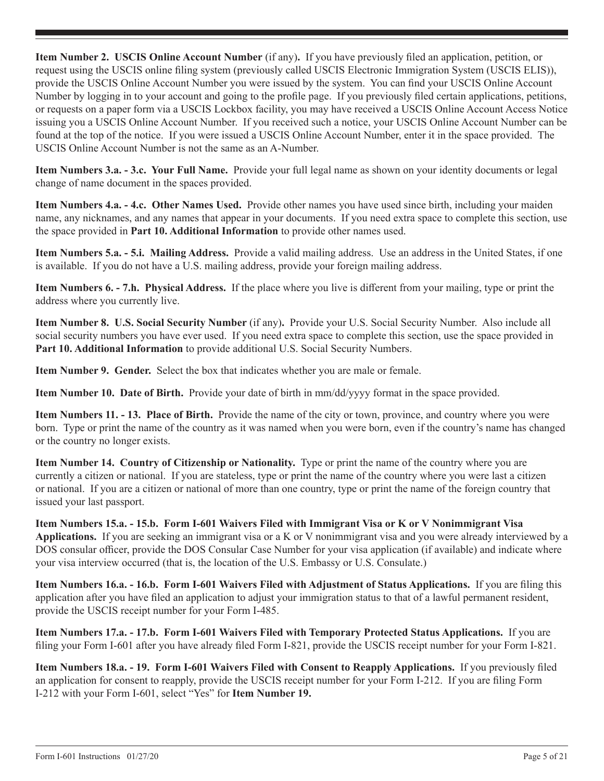**Item Number 2. USCIS Online Account Number** (if any)**.** If you have previously filed an application, petition, or request using the USCIS online filing system (previously called USCIS Electronic Immigration System (USCIS ELIS)), provide the USCIS Online Account Number you were issued by the system. You can find your USCIS Online Account Number by logging in to your account and going to the profile page. If you previously filed certain applications, petitions, or requests on a paper form via a USCIS Lockbox facility, you may have received a USCIS Online Account Access Notice issuing you a USCIS Online Account Number. If you received such a notice, your USCIS Online Account Number can be found at the top of the notice. If you were issued a USCIS Online Account Number, enter it in the space provided. The USCIS Online Account Number is not the same as an A-Number.

**Item Numbers 3.a. - 3.c. Your Full Name.** Provide your full legal name as shown on your identity documents or legal change of name document in the spaces provided.

**Item Numbers 4.a. - 4.c. Other Names Used.** Provide other names you have used since birth, including your maiden name, any nicknames, and any names that appear in your documents. If you need extra space to complete this section, use the space provided in **Part 10. Additional Information** to provide other names used.

**Item Numbers 5.a. - 5.i. Mailing Address.** Provide a valid mailing address. Use an address in the United States, if one is available. If you do not have a U.S. mailing address, provide your foreign mailing address.

**Item Numbers 6. - 7.h. Physical Address.** If the place where you live is different from your mailing, type or print the address where you currently live.

**Item Number 8. U.S. Social Security Number** (if any)**.** Provide your U.S. Social Security Number. Also include all social security numbers you have ever used. If you need extra space to complete this section, use the space provided in **Part 10. Additional Information** to provide additional U.S. Social Security Numbers.

**Item Number 9. Gender.** Select the box that indicates whether you are male or female.

**Item Number 10. Date of Birth.** Provide your date of birth in mm/dd/yyyy format in the space provided.

**Item Numbers 11. - 13. Place of Birth.** Provide the name of the city or town, province, and country where you were born. Type or print the name of the country as it was named when you were born, even if the country's name has changed or the country no longer exists.

**Item Number 14. Country of Citizenship or Nationality.** Type or print the name of the country where you are currently a citizen or national. If you are stateless, type or print the name of the country where you were last a citizen or national. If you are a citizen or national of more than one country, type or print the name of the foreign country that issued your last passport.

**Item Numbers 15.a. - 15.b. Form I-601 Waivers Filed with Immigrant Visa or K or V Nonimmigrant Visa Applications.** If you are seeking an immigrant visa or a K or V nonimmigrant visa and you were already interviewed by a DOS consular officer, provide the DOS Consular Case Number for your visa application (if available) and indicate where your visa interview occurred (that is, the location of the U.S. Embassy or U.S. Consulate.)

**Item Numbers 16.a. - 16.b. Form I-601 Waivers Filed with Adjustment of Status Applications.** If you are filing this application after you have filed an application to adjust your immigration status to that of a lawful permanent resident, provide the USCIS receipt number for your Form I-485.

**Item Numbers 17.a. - 17.b. Form I-601 Waivers Filed with Temporary Protected Status Applications.** If you are filing your Form I-601 after you have already filed Form I-821, provide the USCIS receipt number for your Form I-821.

**Item Numbers 18.a. - 19. Form I-601 Waivers Filed with Consent to Reapply Applications.** If you previously filed an application for consent to reapply, provide the USCIS receipt number for your Form I-212. If you are filing Form I-212 with your Form I-601, select "Yes" for **Item Number 19.**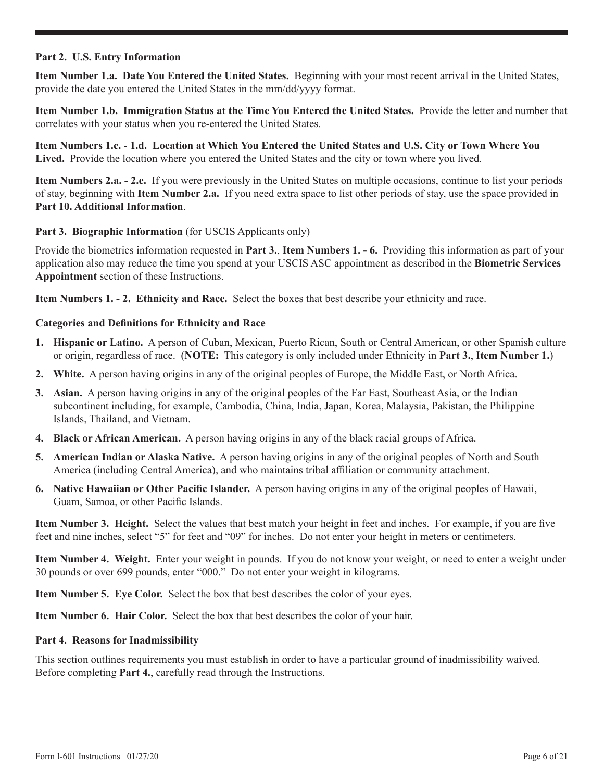### **Part 2. U.S. Entry Information**

**Item Number 1.a. Date You Entered the United States.** Beginning with your most recent arrival in the United States, provide the date you entered the United States in the mm/dd/yyyy format.

**Item Number 1.b. Immigration Status at the Time You Entered the United States.** Provide the letter and number that correlates with your status when you re-entered the United States.

**Item Numbers 1.c. - 1.d. Location at Which You Entered the United States and U.S. City or Town Where You Lived.** Provide the location where you entered the United States and the city or town where you lived.

**Item Numbers 2.a. - 2.e.** If you were previously in the United States on multiple occasions, continue to list your periods of stay, beginning with **Item Number 2.a.** If you need extra space to list other periods of stay, use the space provided in **Part 10. Additional Information**.

### Part 3. Biographic Information (for USCIS Applicants only)

Provide the biometrics information requested in **Part 3.**, **Item Numbers 1. - 6.** Providing this information as part of your application also may reduce the time you spend at your USCIS ASC appointment as described in the **Biometric Services Appointment** section of these Instructions.

**Item Numbers 1. - 2. Ethnicity and Race.** Select the boxes that best describe your ethnicity and race.

#### **Categories and Definitions for Ethnicity and Race**

- **1. Hispanic or Latino.** A person of Cuban, Mexican, Puerto Rican, South or Central American, or other Spanish culture or origin, regardless of race. (**NOTE:** This category is only included under Ethnicity in **Part 3.**, **Item Number 1.**)
- **2. White.** A person having origins in any of the original peoples of Europe, the Middle East, or North Africa.
- **3. Asian.** A person having origins in any of the original peoples of the Far East, Southeast Asia, or the Indian subcontinent including, for example, Cambodia, China, India, Japan, Korea, Malaysia, Pakistan, the Philippine Islands, Thailand, and Vietnam.
- **4. Black or African American.** A person having origins in any of the black racial groups of Africa.
- **5. American Indian or Alaska Native.** A person having origins in any of the original peoples of North and South America (including Central America), and who maintains tribal affiliation or community attachment.
- **6. Native Hawaiian or Other Pacific Islander.** A person having origins in any of the original peoples of Hawaii, Guam, Samoa, or other Pacific Islands.

**Item Number 3. Height.** Select the values that best match your height in feet and inches. For example, if you are five feet and nine inches, select "5" for feet and "09" for inches. Do not enter your height in meters or centimeters.

**Item Number 4. Weight.** Enter your weight in pounds. If you do not know your weight, or need to enter a weight under 30 pounds or over 699 pounds, enter "000." Do not enter your weight in kilograms.

**Item Number 5. Eye Color.** Select the box that best describes the color of your eyes.

**Item Number 6. Hair Color.** Select the box that best describes the color of your hair.

#### **Part 4. Reasons for Inadmissibility**

This section outlines requirements you must establish in order to have a particular ground of inadmissibility waived. Before completing **Part 4.**, carefully read through the Instructions.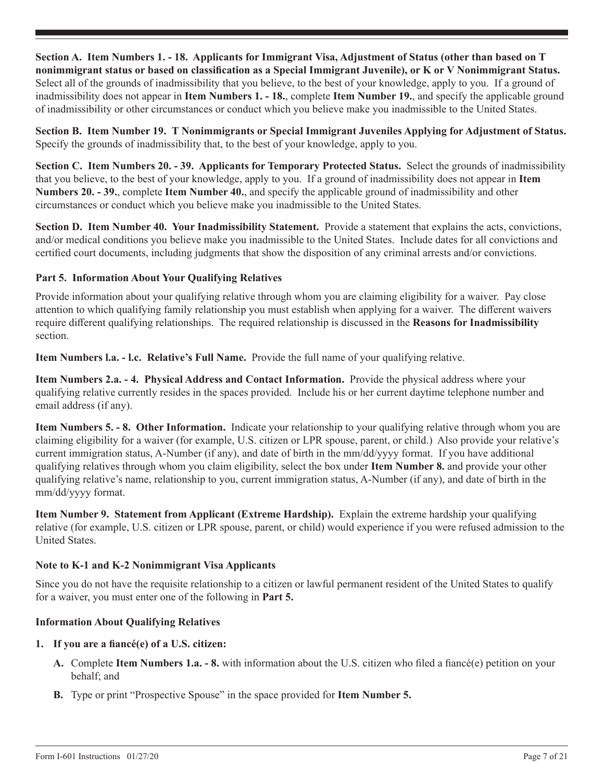**Section A. Item Numbers 1. - 18. Applicants for Immigrant Visa, Adjustment of Status (other than based on T nonimmigrant status or based on classification as a Special Immigrant Juvenile), or K or V Nonimmigrant Status.** Select all of the grounds of inadmissibility that you believe, to the best of your knowledge, apply to you. If a ground of inadmissibility does not appear in **Item Numbers 1. - 18.**, complete **Item Number 19.**, and specify the applicable ground of inadmissibility or other circumstances or conduct which you believe make you inadmissible to the United States.

**Section B. Item Number 19. T Nonimmigrants or Special Immigrant Juveniles Applying for Adjustment of Status.** Specify the grounds of inadmissibility that, to the best of your knowledge, apply to you.

**Section C. Item Numbers 20. - 39. Applicants for Temporary Protected Status.** Select the grounds of inadmissibility that you believe, to the best of your knowledge, apply to you. If a ground of inadmissibility does not appear in **Item Numbers 20. - 39.**, complete **Item Number 40.**, and specify the applicable ground of inadmissibility and other circumstances or conduct which you believe make you inadmissible to the United States.

**Section D. Item Number 40. Your Inadmissibility Statement.** Provide a statement that explains the acts, convictions, and/or medical conditions you believe make you inadmissible to the United States. Include dates for all convictions and certified court documents, including judgments that show the disposition of any criminal arrests and/or convictions.

# **Part 5. Information About Your Qualifying Relatives**

Provide information about your qualifying relative through whom you are claiming eligibility for a waiver. Pay close attention to which qualifying family relationship you must establish when applying for a waiver. The different waivers require different qualifying relationships. The required relationship is discussed in the **Reasons for Inadmissibility** section.

**Item Numbers l.a. - l.c. Relative's Full Name.** Provide the full name of your qualifying relative.

**Item Numbers 2.a. - 4. Physical Address and Contact Information.** Provide the physical address where your qualifying relative currently resides in the spaces provided. Include his or her current daytime telephone number and email address (if any).

**Item Numbers 5. - 8. Other Information.** Indicate your relationship to your qualifying relative through whom you are claiming eligibility for a waiver (for example, U.S. citizen or LPR spouse, parent, or child.) Also provide your relative's current immigration status, A-Number (if any), and date of birth in the mm/dd/yyyy format. If you have additional qualifying relatives through whom you claim eligibility, select the box under **Item Number 8.** and provide your other qualifying relative's name, relationship to you, current immigration status, A-Number (if any), and date of birth in the mm/dd/yyyy format.

**Item Number 9. Statement from Applicant (Extreme Hardship).** Explain the extreme hardship your qualifying relative (for example, U.S. citizen or LPR spouse, parent, or child) would experience if you were refused admission to the United States.

# **Note to K-1 and K-2 Nonimmigrant Visa Applicants**

Since you do not have the requisite relationship to a citizen or lawful permanent resident of the United States to qualify for a waiver, you must enter one of the following in **Part 5.**

# **Information About Qualifying Relatives**

#### **1. If you are a fiancé(e) of a U.S. citizen:**

- **A.** Complete **Item Numbers 1.a. 8.** with information about the U.S. citizen who filed a fiancé(e) petition on your behalf; and
- **B.** Type or print "Prospective Spouse" in the space provided for **Item Number 5.**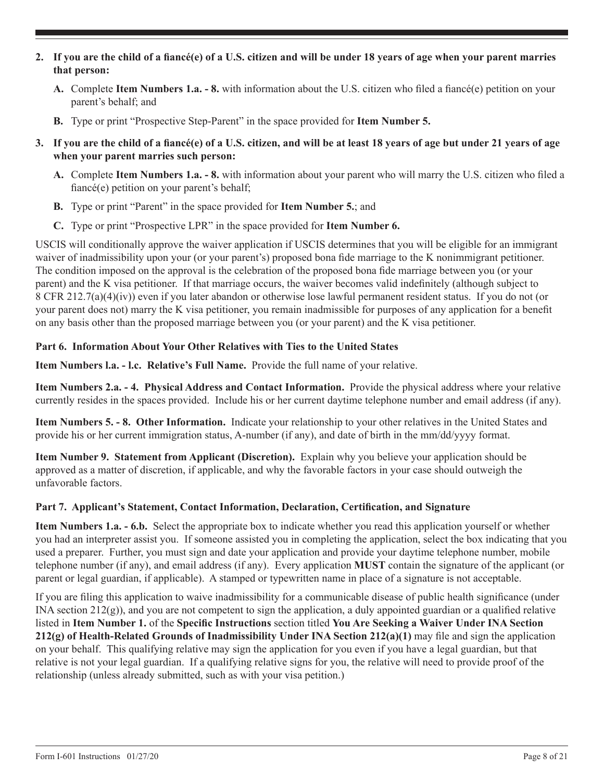- **2. If you are the child of a fiancé(e) of a U.S. citizen and will be under 18 years of age when your parent marries that person:**
	- **A.** Complete **Item Numbers 1.a. 8.** with information about the U.S. citizen who filed a fiancé(e) petition on your parent's behalf; and
	- **B.** Type or print "Prospective Step-Parent" in the space provided for **Item Number 5.**
- **3. If you are the child of a fiancé(e) of a U.S. citizen, and will be at least 18 years of age but under 21 years of age when your parent marries such person:**
	- **A.** Complete **Item Numbers 1.a. 8.** with information about your parent who will marry the U.S. citizen who filed a fiancé(e) petition on your parent's behalf;
	- **B.** Type or print "Parent" in the space provided for **Item Number 5.**; and
	- **C.** Type or print "Prospective LPR" in the space provided for **Item Number 6.**

USCIS will conditionally approve the waiver application if USCIS determines that you will be eligible for an immigrant waiver of inadmissibility upon your (or your parent's) proposed bona fide marriage to the K nonimmigrant petitioner. The condition imposed on the approval is the celebration of the proposed bona fide marriage between you (or your parent) and the K visa petitioner. If that marriage occurs, the waiver becomes valid indefinitely (although subject to 8 CFR 212.7(a)(4)(iv)) even if you later abandon or otherwise lose lawful permanent resident status. If you do not (or your parent does not) marry the K visa petitioner, you remain inadmissible for purposes of any application for a benefit on any basis other than the proposed marriage between you (or your parent) and the K visa petitioner.

# **Part 6. Information About Your Other Relatives with Ties to the United States**

**Item Numbers l.a. - l.c. Relative's Full Name.** Provide the full name of your relative.

**Item Numbers 2.a. - 4. Physical Address and Contact Information.** Provide the physical address where your relative currently resides in the spaces provided. Include his or her current daytime telephone number and email address (if any).

**Item Numbers 5. - 8. Other Information.** Indicate your relationship to your other relatives in the United States and provide his or her current immigration status, A-number (if any), and date of birth in the mm/dd/yyyy format.

**Item Number 9. Statement from Applicant (Discretion).** Explain why you believe your application should be approved as a matter of discretion, if applicable, and why the favorable factors in your case should outweigh the unfavorable factors.

# **Part 7. Applicant's Statement, Contact Information, Declaration, Certification, and Signature**

**Item Numbers 1.a. - 6.b.** Select the appropriate box to indicate whether you read this application yourself or whether you had an interpreter assist you. If someone assisted you in completing the application, select the box indicating that you used a preparer. Further, you must sign and date your application and provide your daytime telephone number, mobile telephone number (if any), and email address (if any). Every application **MUST** contain the signature of the applicant (or parent or legal guardian, if applicable). A stamped or typewritten name in place of a signature is not acceptable.

If you are filing this application to waive inadmissibility for a communicable disease of public health significance (under INA section  $212(g)$ ), and you are not competent to sign the application, a duly appointed guardian or a qualified relative listed in **Item Number 1.** of the **Specific Instructions** section titled **You Are Seeking a Waiver Under INA Section 212(g) of Health-Related Grounds of Inadmissibility Under INA Section 212(a)(1)** may file and sign the application on your behalf. This qualifying relative may sign the application for you even if you have a legal guardian, but that relative is not your legal guardian. If a qualifying relative signs for you, the relative will need to provide proof of the relationship (unless already submitted, such as with your visa petition.)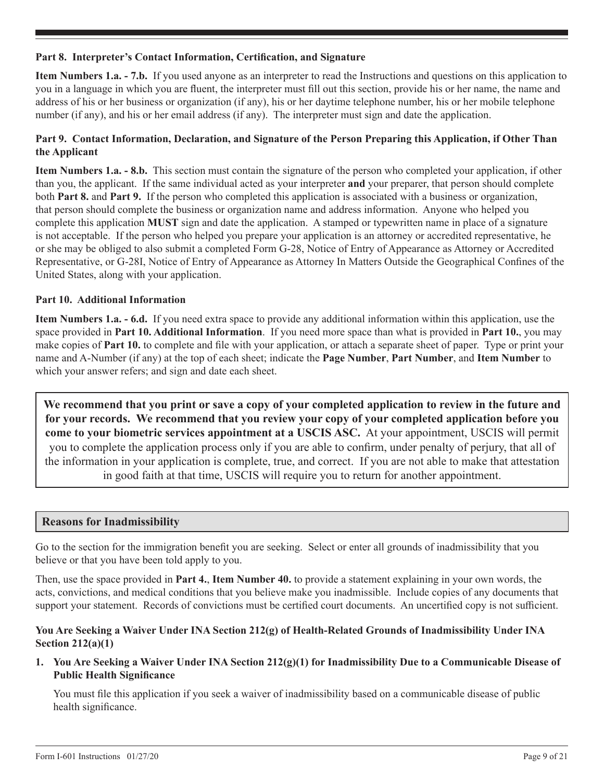### **Part 8. Interpreter's Contact Information, Certification, and Signature**

**Item Numbers 1.a. - 7.b.** If you used anyone as an interpreter to read the Instructions and questions on this application to you in a language in which you are fluent, the interpreter must fill out this section, provide his or her name, the name and address of his or her business or organization (if any), his or her daytime telephone number, his or her mobile telephone number (if any), and his or her email address (if any). The interpreter must sign and date the application.

# **Part 9. Contact Information, Declaration, and Signature of the Person Preparing this Application, if Other Than the Applicant**

**Item Numbers 1.a. - 8.b.** This section must contain the signature of the person who completed your application, if other than you, the applicant. If the same individual acted as your interpreter **and** your preparer, that person should complete both **Part 8.** and **Part 9.** If the person who completed this application is associated with a business or organization, that person should complete the business or organization name and address information. Anyone who helped you complete this application **MUST** sign and date the application. A stamped or typewritten name in place of a signature is not acceptable. If the person who helped you prepare your application is an attorney or accredited representative, he or she may be obliged to also submit a completed Form G-28, Notice of Entry of Appearance as Attorney or Accredited Representative, or G-28I, Notice of Entry of Appearance as Attorney In Matters Outside the Geographical Confines of the United States, along with your application.

### **Part 10. Additional Information**

**Item Numbers 1.a. - 6.d.** If you need extra space to provide any additional information within this application, use the space provided in **Part 10. Additional Information**. If you need more space than what is provided in **Part 10.**, you may make copies of **Part 10.** to complete and file with your application, or attach a separate sheet of paper. Type or print your name and A-Number (if any) at the top of each sheet; indicate the **Page Number**, **Part Number**, and **Item Number** to which your answer refers; and sign and date each sheet.

**We recommend that you print or save a copy of your completed application to review in the future and for your records. We recommend that you review your copy of your completed application before you come to your biometric services appointment at a USCIS ASC.** At your appointment, USCIS will permit you to complete the application process only if you are able to confirm, under penalty of perjury, that all of the information in your application is complete, true, and correct. If you are not able to make that attestation in good faith at that time, USCIS will require you to return for another appointment.

# **Reasons for Inadmissibility**

Go to the section for the immigration benefit you are seeking. Select or enter all grounds of inadmissibility that you believe or that you have been told apply to you.

Then, use the space provided in **Part 4.**, **Item Number 40.** to provide a statement explaining in your own words, the acts, convictions, and medical conditions that you believe make you inadmissible. Include copies of any documents that support your statement. Records of convictions must be certified court documents. An uncertified copy is not sufficient.

### **You Are Seeking a Waiver Under INA Section 212(g) of Health-Related Grounds of Inadmissibility Under INA Section 212(a)(1)**

**1. You Are Seeking a Waiver Under INA Section 212(g)(1) for Inadmissibility Due to a Communicable Disease of Public Health Significance**

You must file this application if you seek a waiver of inadmissibility based on a communicable disease of public health significance.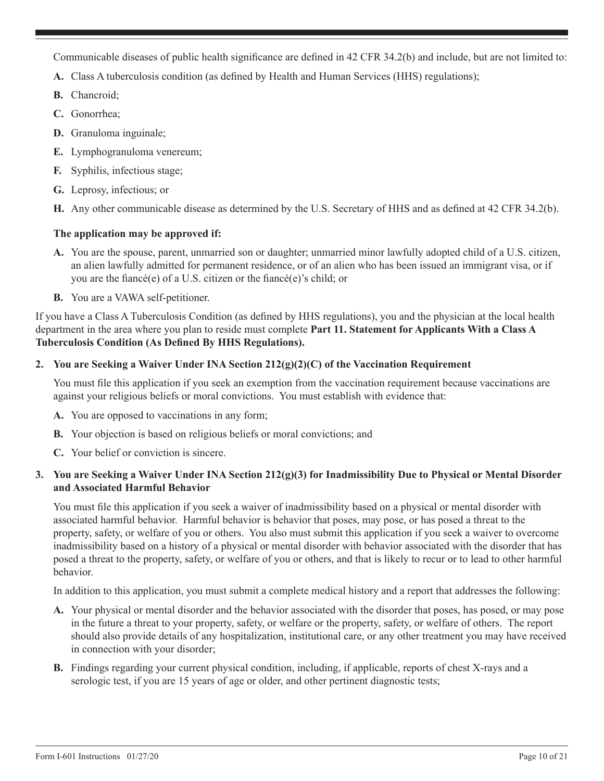Communicable diseases of public health significance are defined in 42 CFR 34.2(b) and include, but are not limited to:

- **A.** Class A tuberculosis condition (as defined by Health and Human Services (HHS) regulations);
- **B.** Chancroid;
- **C.** Gonorrhea;
- **D.** Granuloma inguinale;
- **E.** Lymphogranuloma venereum;
- **F.** Syphilis, infectious stage;
- **G.** Leprosy, infectious; or
- **H.** Any other communicable disease as determined by the U.S. Secretary of HHS and as defined at 42 CFR 34.2(b).

# **The application may be approved if:**

- **A.** You are the spouse, parent, unmarried son or daughter; unmarried minor lawfully adopted child of a U.S. citizen, an alien lawfully admitted for permanent residence, or of an alien who has been issued an immigrant visa, or if you are the fiancé(e) of a U.S. citizen or the fiancé(e)'s child; or
- **B.** You are a VAWA self-petitioner.

If you have a Class A Tuberculosis Condition (as defined by HHS regulations), you and the physician at the local health department in the area where you plan to reside must complete **Part 11. Statement for Applicants With a Class A Tuberculosis Condition (As Defined By HHS Regulations).**

# **2. You are Seeking a Waiver Under INA Section 212(g)(2)(C) of the Vaccination Requirement**

You must file this application if you seek an exemption from the vaccination requirement because vaccinations are against your religious beliefs or moral convictions. You must establish with evidence that:

- **A.** You are opposed to vaccinations in any form;
- **B.** Your objection is based on religious beliefs or moral convictions; and
- **C.** Your belief or conviction is sincere.

# **3. You are Seeking a Waiver Under INA Section 212(g)(3) for Inadmissibility Due to Physical or Mental Disorder and Associated Harmful Behavior**

You must file this application if you seek a waiver of inadmissibility based on a physical or mental disorder with associated harmful behavior. Harmful behavior is behavior that poses, may pose, or has posed a threat to the property, safety, or welfare of you or others. You also must submit this application if you seek a waiver to overcome inadmissibility based on a history of a physical or mental disorder with behavior associated with the disorder that has posed a threat to the property, safety, or welfare of you or others, and that is likely to recur or to lead to other harmful behavior.

In addition to this application, you must submit a complete medical history and a report that addresses the following:

- **A.** Your physical or mental disorder and the behavior associated with the disorder that poses, has posed, or may pose in the future a threat to your property, safety, or welfare or the property, safety, or welfare of others. The report should also provide details of any hospitalization, institutional care, or any other treatment you may have received in connection with your disorder;
- **B.** Findings regarding your current physical condition, including, if applicable, reports of chest X-rays and a serologic test, if you are 15 years of age or older, and other pertinent diagnostic tests;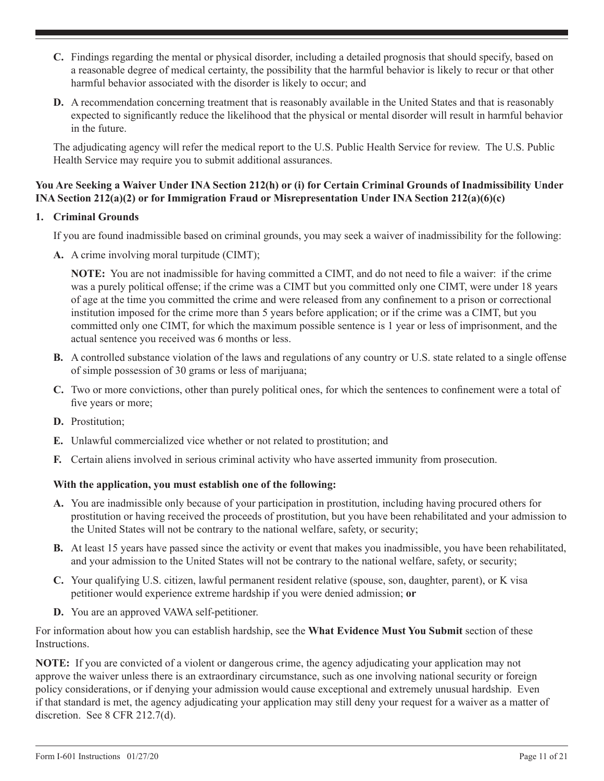- **C.** Findings regarding the mental or physical disorder, including a detailed prognosis that should specify, based on a reasonable degree of medical certainty, the possibility that the harmful behavior is likely to recur or that other harmful behavior associated with the disorder is likely to occur; and
- **D.** A recommendation concerning treatment that is reasonably available in the United States and that is reasonably expected to significantly reduce the likelihood that the physical or mental disorder will result in harmful behavior in the future.

The adjudicating agency will refer the medical report to the U.S. Public Health Service for review. The U.S. Public Health Service may require you to submit additional assurances.

# **You Are Seeking a Waiver Under INA Section 212(h) or (i) for Certain Criminal Grounds of Inadmissibility Under INA Section 212(a)(2) or for Immigration Fraud or Misrepresentation Under INA Section 212(a)(6)(c)**

# **1. Criminal Grounds**

If you are found inadmissible based on criminal grounds, you may seek a waiver of inadmissibility for the following:

**A.** A crime involving moral turpitude (CIMT);

**NOTE:** You are not inadmissible for having committed a CIMT, and do not need to file a waiver: if the crime was a purely political offense; if the crime was a CIMT but you committed only one CIMT, were under 18 years of age at the time you committed the crime and were released from any confinement to a prison or correctional institution imposed for the crime more than 5 years before application; or if the crime was a CIMT, but you committed only one CIMT, for which the maximum possible sentence is 1 year or less of imprisonment, and the actual sentence you received was 6 months or less.

- **B.** A controlled substance violation of the laws and regulations of any country or U.S. state related to a single offense of simple possession of 30 grams or less of marijuana;
- **C.** Two or more convictions, other than purely political ones, for which the sentences to confinement were a total of five years or more;
- **D.** Prostitution;
- **E.** Unlawful commercialized vice whether or not related to prostitution; and
- **F.** Certain aliens involved in serious criminal activity who have asserted immunity from prosecution.

#### **With the application, you must establish one of the following:**

- **A.** You are inadmissible only because of your participation in prostitution, including having procured others for prostitution or having received the proceeds of prostitution, but you have been rehabilitated and your admission to the United States will not be contrary to the national welfare, safety, or security;
- **B.** At least 15 years have passed since the activity or event that makes you inadmissible, you have been rehabilitated, and your admission to the United States will not be contrary to the national welfare, safety, or security;
- **C.** Your qualifying U.S. citizen, lawful permanent resident relative (spouse, son, daughter, parent), or K visa petitioner would experience extreme hardship if you were denied admission; **or**
- **D.** You are an approved VAWA self-petitioner.

For information about how you can establish hardship, see the **What Evidence Must You Submit** section of these Instructions.

**NOTE:** If you are convicted of a violent or dangerous crime, the agency adjudicating your application may not approve the waiver unless there is an extraordinary circumstance, such as one involving national security or foreign policy considerations, or if denying your admission would cause exceptional and extremely unusual hardship. Even if that standard is met, the agency adjudicating your application may still deny your request for a waiver as a matter of discretion. See 8 CFR 212.7(d).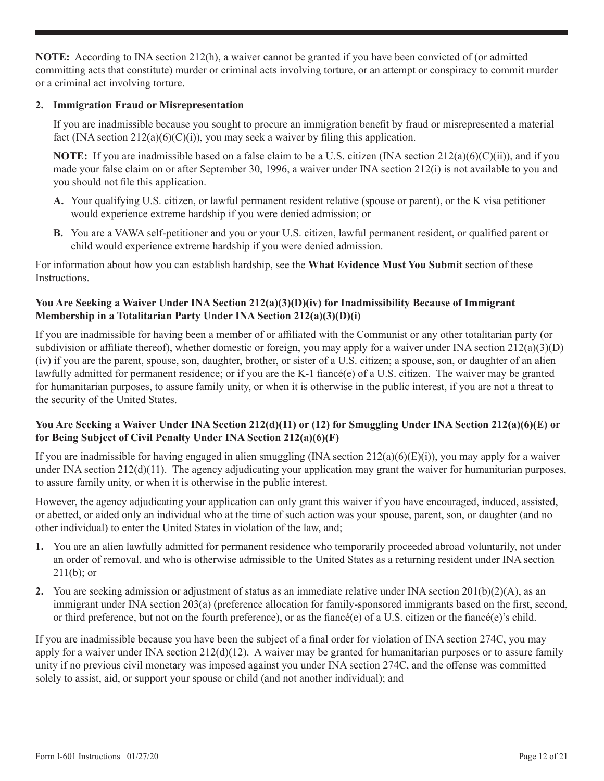**NOTE:** According to INA section 212(h), a waiver cannot be granted if you have been convicted of (or admitted committing acts that constitute) murder or criminal acts involving torture, or an attempt or conspiracy to commit murder or a criminal act involving torture.

# **2. Immigration Fraud or Misrepresentation**

If you are inadmissible because you sought to procure an immigration benefit by fraud or misrepresented a material fact (INA section  $212(a)(6)(C)(i)$ ), you may seek a waiver by filing this application.

**NOTE:** If you are inadmissible based on a false claim to be a U.S. citizen (INA section  $212(a)(6)(C)(ii)$ ), and if you made your false claim on or after September 30, 1996, a waiver under INA section 212(i) is not available to you and you should not file this application.

- **A.** Your qualifying U.S. citizen, or lawful permanent resident relative (spouse or parent), or the K visa petitioner would experience extreme hardship if you were denied admission; or
- **B.** You are a VAWA self-petitioner and you or your U.S. citizen, lawful permanent resident, or qualified parent or child would experience extreme hardship if you were denied admission.

For information about how you can establish hardship, see the **What Evidence Must You Submit** section of these Instructions.

# **You Are Seeking a Waiver Under INA Section 212(a)(3)(D)(iv) for Inadmissibility Because of Immigrant Membership in a Totalitarian Party Under INA Section 212(a)(3)(D)(i)**

If you are inadmissible for having been a member of or affiliated with the Communist or any other totalitarian party (or subdivision or affiliate thereof), whether domestic or foreign, you may apply for a waiver under INA section  $212(a)(3)(D)$ (iv) if you are the parent, spouse, son, daughter, brother, or sister of a U.S. citizen; a spouse, son, or daughter of an alien lawfully admitted for permanent residence; or if you are the K-1 fiancé(e) of a U.S. citizen. The waiver may be granted for humanitarian purposes, to assure family unity, or when it is otherwise in the public interest, if you are not a threat to the security of the United States.

# **You Are Seeking a Waiver Under INA Section 212(d)(11) or (12) for Smuggling Under INA Section 212(a)(6)(E) or for Being Subject of Civil Penalty Under INA Section 212(a)(6)(F)**

If you are inadmissible for having engaged in alien smuggling (INA section  $212(a)(6)(E)(i)$ ), you may apply for a waiver under INA section  $212(d)(11)$ . The agency adjudicating your application may grant the waiver for humanitarian purposes, to assure family unity, or when it is otherwise in the public interest.

However, the agency adjudicating your application can only grant this waiver if you have encouraged, induced, assisted, or abetted, or aided only an individual who at the time of such action was your spouse, parent, son, or daughter (and no other individual) to enter the United States in violation of the law, and;

- **1.** You are an alien lawfully admitted for permanent residence who temporarily proceeded abroad voluntarily, not under an order of removal, and who is otherwise admissible to the United States as a returning resident under INA section  $211(b)$ ; or
- **2.** You are seeking admission or adjustment of status as an immediate relative under INA section 201(b)(2)(A), as an immigrant under INA section 203(a) (preference allocation for family-sponsored immigrants based on the first, second, or third preference, but not on the fourth preference), or as the fiancé(e) of a U.S. citizen or the fiancé(e)'s child.

If you are inadmissible because you have been the subject of a final order for violation of INA section 274C, you may apply for a waiver under INA section  $212(d)(12)$ . A waiver may be granted for humanitarian purposes or to assure family unity if no previous civil monetary was imposed against you under INA section 274C, and the offense was committed solely to assist, aid, or support your spouse or child (and not another individual); and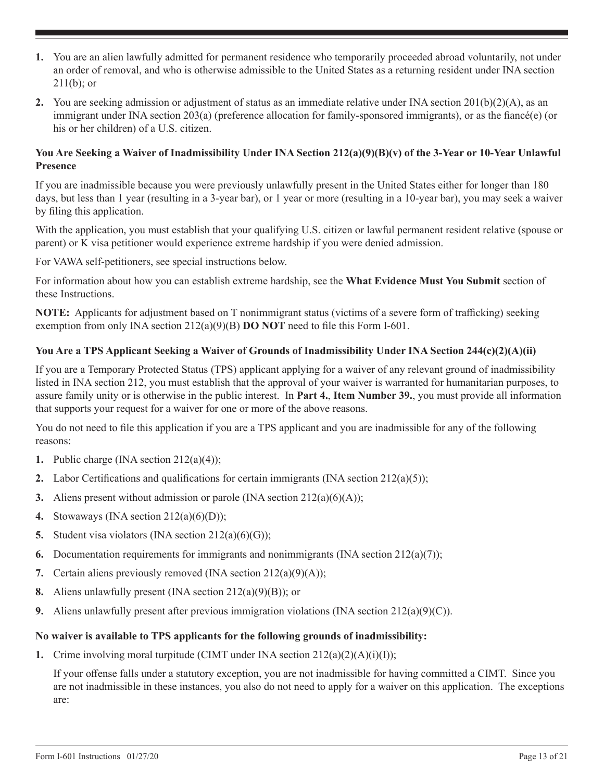- **1.** You are an alien lawfully admitted for permanent residence who temporarily proceeded abroad voluntarily, not under an order of removal, and who is otherwise admissible to the United States as a returning resident under INA section  $211(b)$ ; or
- **2.** You are seeking admission or adjustment of status as an immediate relative under INA section 201(b)(2)(A), as an immigrant under INA section 203(a) (preference allocation for family-sponsored immigrants), or as the fiancé(e) (or his or her children) of a U.S. citizen.

#### **You Are Seeking a Waiver of Inadmissibility Under INA Section 212(a)(9)(B)(v) of the 3-Year or 10-Year Unlawful Presence**

If you are inadmissible because you were previously unlawfully present in the United States either for longer than 180 days, but less than 1 year (resulting in a 3-year bar), or 1 year or more (resulting in a 10-year bar), you may seek a waiver by filing this application.

With the application, you must establish that your qualifying U.S. citizen or lawful permanent resident relative (spouse or parent) or K visa petitioner would experience extreme hardship if you were denied admission.

For VAWA self-petitioners, see special instructions below.

For information about how you can establish extreme hardship, see the **What Evidence Must You Submit** section of these Instructions.

**NOTE:** Applicants for adjustment based on T nonimmigrant status (victims of a severe form of trafficking) seeking exemption from only INA section 212(a)(9)(B) **DO NOT** need to file this Form I-601.

# **You Are a TPS Applicant Seeking a Waiver of Grounds of Inadmissibility Under INA Section 244(c)(2)(A)(ii)**

If you are a Temporary Protected Status (TPS) applicant applying for a waiver of any relevant ground of inadmissibility listed in INA section 212, you must establish that the approval of your waiver is warranted for humanitarian purposes, to assure family unity or is otherwise in the public interest. In **Part 4.**, **Item Number 39.**, you must provide all information that supports your request for a waiver for one or more of the above reasons.

You do not need to file this application if you are a TPS applicant and you are inadmissible for any of the following reasons:

- **1.** Public charge (INA section 212(a)(4));
- **2.** Labor Certifications and qualifications for certain immigrants (INA section  $212(a)(5)$ );
- **3.** Aliens present without admission or parole (INA section 212(a)(6)(A));
- **4.** Stowaways (INA section 212(a)(6)(D));
- **5.** Student visa violators (INA section 212(a)(6)(G));
- **6.** Documentation requirements for immigrants and nonimmigrants (INA section  $212(a)(7)$ );
- **7.** Certain aliens previously removed (INA section 212(a)(9)(A));
- **8.** Aliens unlawfully present (INA section 212(a)(9)(B)); or
- **9.** Aliens unlawfully present after previous immigration violations (INA section  $212(a)(9)(C)$ ).

#### **No waiver is available to TPS applicants for the following grounds of inadmissibility:**

**1.** Crime involving moral turpitude (CIMT under INA section 212(a)(2)(A)(i)(I));

If your offense falls under a statutory exception, you are not inadmissible for having committed a CIMT. Since you are not inadmissible in these instances, you also do not need to apply for a waiver on this application. The exceptions are: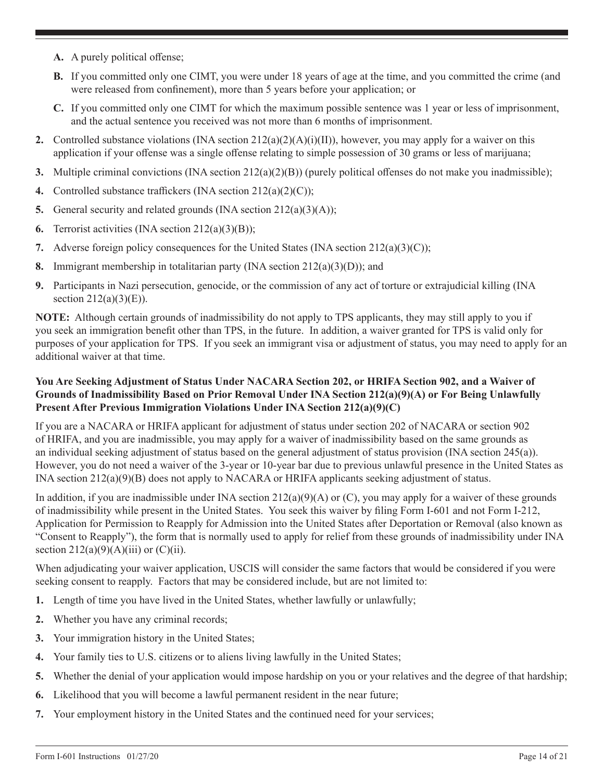- **A.** A purely political offense;
- **B.** If you committed only one CIMT, you were under 18 years of age at the time, and you committed the crime (and were released from confinement), more than 5 years before your application; or
- **C.** If you committed only one CIMT for which the maximum possible sentence was 1 year or less of imprisonment, and the actual sentence you received was not more than 6 months of imprisonment.
- **2.** Controlled substance violations (INA section  $212(a)(2)(A)(i)(II)$ ), however, you may apply for a waiver on this application if your offense was a single offense relating to simple possession of 30 grams or less of marijuana;
- **3.** Multiple criminal convictions (INA section 212(a)(2)(B)) (purely political offenses do not make you inadmissible);
- **4.** Controlled substance traffickers (INA section 212(a)(2)(C));
- **5.** General security and related grounds (INA section 212(a)(3)(A));
- **6.** Terrorist activities (INA section 212(a)(3)(B));
- **7.** Adverse foreign policy consequences for the United States (INA section  $212(a)(3)(C)$ );
- **8.** Immigrant membership in totalitarian party (INA section 212(a)(3)(D)); and
- **9.** Participants in Nazi persecution, genocide, or the commission of any act of torture or extrajudicial killing (INA section  $212(a)(3)(E)$ ).

**NOTE:** Although certain grounds of inadmissibility do not apply to TPS applicants, they may still apply to you if you seek an immigration benefit other than TPS, in the future. In addition, a waiver granted for TPS is valid only for purposes of your application for TPS. If you seek an immigrant visa or adjustment of status, you may need to apply for an additional waiver at that time.

# **You Are Seeking Adjustment of Status Under NACARA Section 202, or HRIFA Section 902, and a Waiver of Grounds of Inadmissibility Based on Prior Removal Under INA Section 212(a)(9)(A) or For Being Unlawfully Present After Previous Immigration Violations Under INA Section 212(a)(9)(C)**

If you are a NACARA or HRIFA applicant for adjustment of status under section 202 of NACARA or section 902 of HRIFA, and you are inadmissible, you may apply for a waiver of inadmissibility based on the same grounds as an individual seeking adjustment of status based on the general adjustment of status provision (INA section 245(a)). However, you do not need a waiver of the 3-year or 10-year bar due to previous unlawful presence in the United States as INA section 212(a)(9)(B) does not apply to NACARA or HRIFA applicants seeking adjustment of status.

In addition, if you are inadmissible under INA section  $212(a)(9)(A)$  or (C), you may apply for a waiver of these grounds of inadmissibility while present in the United States. You seek this waiver by filing Form I-601 and not Form I-212, Application for Permission to Reapply for Admission into the United States after Deportation or Removal (also known as "Consent to Reapply"), the form that is normally used to apply for relief from these grounds of inadmissibility under INA section  $212(a)(9)(A)(iii)$  or  $(C)(ii)$ .

When adjudicating your waiver application, USCIS will consider the same factors that would be considered if you were seeking consent to reapply. Factors that may be considered include, but are not limited to:

- **1.** Length of time you have lived in the United States, whether lawfully or unlawfully;
- **2.** Whether you have any criminal records;
- **3.** Your immigration history in the United States;
- **4.** Your family ties to U.S. citizens or to aliens living lawfully in the United States;
- **5.** Whether the denial of your application would impose hardship on you or your relatives and the degree of that hardship;
- **6.** Likelihood that you will become a lawful permanent resident in the near future;
- **7.** Your employment history in the United States and the continued need for your services;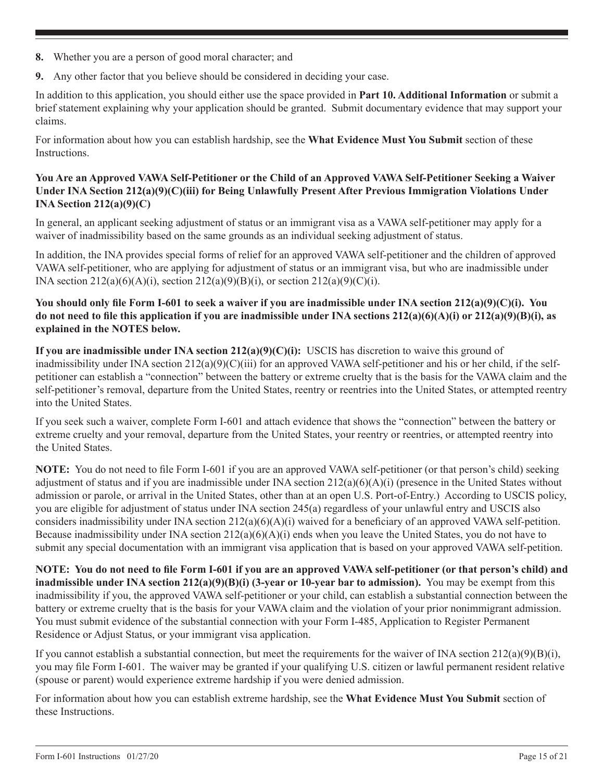- **8.** Whether you are a person of good moral character; and
- **9.** Any other factor that you believe should be considered in deciding your case.

In addition to this application, you should either use the space provided in **Part 10. Additional Information** or submit a brief statement explaining why your application should be granted. Submit documentary evidence that may support your claims.

For information about how you can establish hardship, see the **What Evidence Must You Submit** section of these Instructions.

# **You Are an Approved VAWA Self-Petitioner or the Child of an Approved VAWA Self-Petitioner Seeking a Waiver Under INA Section 212(a)(9)(C)(iii) for Being Unlawfully Present After Previous Immigration Violations Under INA Section 212(a)(9)(C)**

In general, an applicant seeking adjustment of status or an immigrant visa as a VAWA self-petitioner may apply for a waiver of inadmissibility based on the same grounds as an individual seeking adjustment of status.

In addition, the INA provides special forms of relief for an approved VAWA self-petitioner and the children of approved VAWA self-petitioner, who are applying for adjustment of status or an immigrant visa, but who are inadmissible under INA section  $212(a)(6)(A)(i)$ , section  $212(a)(9)(B)(i)$ , or section  $212(a)(9)(C)(i)$ .

# **You should only file Form I-601 to seek a waiver if you are inadmissible under INA section 212(a)(9)(C)(i). You do not need to file this application if you are inadmissible under INA sections 212(a)(6)(A)(i) or 212(a)(9)(B)(i), as explained in the NOTES below.**

**If you are inadmissible under INA section 212(a)(9)(C)(i):** USCIS has discretion to waive this ground of inadmissibility under INA section 212(a)(9)(C)(iii) for an approved VAWA self-petitioner and his or her child, if the selfpetitioner can establish a "connection" between the battery or extreme cruelty that is the basis for the VAWA claim and the self-petitioner's removal, departure from the United States, reentry or reentries into the United States, or attempted reentry into the United States.

If you seek such a waiver, complete Form I-601 and attach evidence that shows the "connection" between the battery or extreme cruelty and your removal, departure from the United States, your reentry or reentries, or attempted reentry into the United States.

**NOTE:** You do not need to file Form I-601 if you are an approved VAWA self-petitioner (or that person's child) seeking adjustment of status and if you are inadmissible under INA section 212(a)(6)(A)(i) (presence in the United States without admission or parole, or arrival in the United States, other than at an open U.S. Port-of-Entry.) According to USCIS policy, you are eligible for adjustment of status under INA section 245(a) regardless of your unlawful entry and USCIS also considers inadmissibility under INA section  $212(a)(6)(A)(i)$  waived for a beneficiary of an approved VAWA self-petition. Because inadmissibility under INA section  $212(a)(6)(A)(i)$  ends when you leave the United States, you do not have to submit any special documentation with an immigrant visa application that is based on your approved VAWA self-petition.

**NOTE: You do not need to file Form I-601 if you are an approved VAWA self-petitioner (or that person's child) and inadmissible under INA section 212(a)(9)(B)(i) (3-year or 10-year bar to admission).** You may be exempt from this inadmissibility if you, the approved VAWA self-petitioner or your child, can establish a substantial connection between the battery or extreme cruelty that is the basis for your VAWA claim and the violation of your prior nonimmigrant admission. You must submit evidence of the substantial connection with your Form I-485, Application to Register Permanent Residence or Adjust Status, or your immigrant visa application.

If you cannot establish a substantial connection, but meet the requirements for the waiver of INA section  $212(a)(9)(B)(i)$ , you may file Form I-601. The waiver may be granted if your qualifying U.S. citizen or lawful permanent resident relative (spouse or parent) would experience extreme hardship if you were denied admission.

For information about how you can establish extreme hardship, see the **What Evidence Must You Submit** section of these Instructions.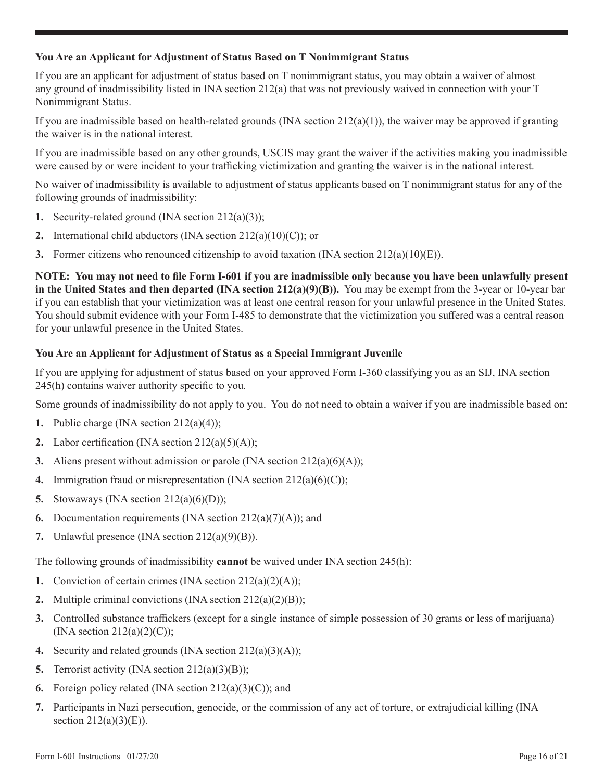# **You Are an Applicant for Adjustment of Status Based on T Nonimmigrant Status**

If you are an applicant for adjustment of status based on T nonimmigrant status, you may obtain a waiver of almost any ground of inadmissibility listed in INA section 212(a) that was not previously waived in connection with your T Nonimmigrant Status.

If you are inadmissible based on health-related grounds (INA section  $212(a)(1)$ ), the waiver may be approved if granting the waiver is in the national interest.

If you are inadmissible based on any other grounds, USCIS may grant the waiver if the activities making you inadmissible were caused by or were incident to your trafficking victimization and granting the waiver is in the national interest.

No waiver of inadmissibility is available to adjustment of status applicants based on T nonimmigrant status for any of the following grounds of inadmissibility:

- **1.** Security-related ground (INA section 212(a)(3));
- **2.** International child abductors (INA section 212(a)(10)(C)); or
- **3.** Former citizens who renounced citizenship to avoid taxation (INA section  $212(a)(10)(E)$ ).

**NOTE: You may not need to file Form I-601 if you are inadmissible only because you have been unlawfully present in the United States and then departed (INA section 212(a)(9)(B)).** You may be exempt from the 3-year or 10-year bar if you can establish that your victimization was at least one central reason for your unlawful presence in the United States. You should submit evidence with your Form I-485 to demonstrate that the victimization you suffered was a central reason for your unlawful presence in the United States.

### **You Are an Applicant for Adjustment of Status as a Special Immigrant Juvenile**

If you are applying for adjustment of status based on your approved Form I-360 classifying you as an SIJ, INA section 245(h) contains waiver authority specific to you.

Some grounds of inadmissibility do not apply to you. You do not need to obtain a waiver if you are inadmissible based on:

- **1.** Public charge (INA section 212(a)(4));
- **2.** Labor certification (INA section  $212(a)(5)(A)$ );
- **3.** Aliens present without admission or parole (INA section 212(a)(6)(A));
- **4.** Immigration fraud or misrepresentation (INA section 212(a)(6)(C));
- **5.** Stowaways (INA section 212(a)(6)(D));
- **6.** Documentation requirements (INA section  $212(a)(7)(A)$ ); and
- **7.** Unlawful presence (INA section 212(a)(9)(B)).

The following grounds of inadmissibility **cannot** be waived under INA section 245(h):

- **1.** Conviction of certain crimes (INA section 212(a)(2)(A));
- **2.** Multiple criminal convictions (INA section 212(a)(2)(B));
- **3.** Controlled substance traffickers (except for a single instance of simple possession of 30 grams or less of marijuana) (INA section  $212(a)(2)(C)$ );
- **4.** Security and related grounds (INA section 212(a)(3)(A));
- **5.** Terrorist activity (INA section 212(a)(3)(B));
- **6.** Foreign policy related (INA section 212(a)(3)(C)); and
- **7.** Participants in Nazi persecution, genocide, or the commission of any act of torture, or extrajudicial killing (INA section  $212(a)(3)(E)$ ).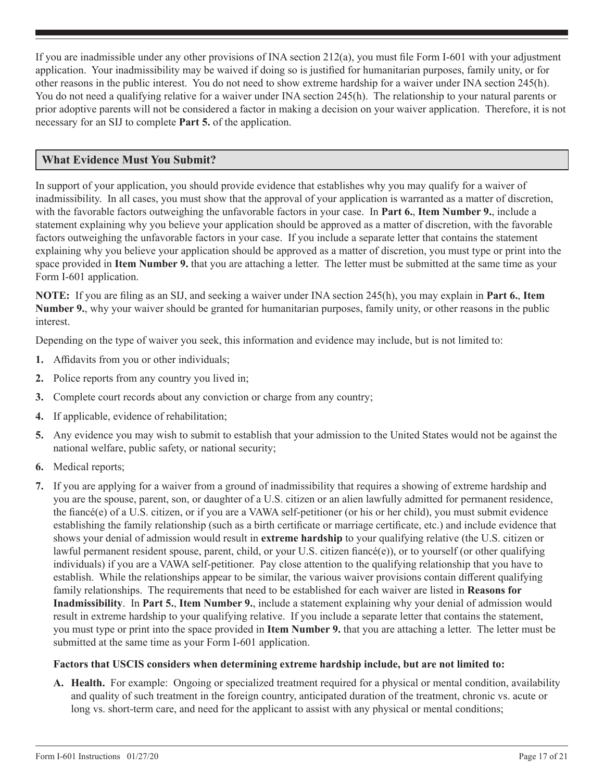If you are inadmissible under any other provisions of INA section 212(a), you must file Form I-601 with your adjustment application. Your inadmissibility may be waived if doing so is justified for humanitarian purposes, family unity, or for other reasons in the public interest. You do not need to show extreme hardship for a waiver under INA section 245(h). You do not need a qualifying relative for a waiver under INA section 245(h). The relationship to your natural parents or prior adoptive parents will not be considered a factor in making a decision on your waiver application. Therefore, it is not necessary for an SIJ to complete **Part 5.** of the application.

# **What Evidence Must You Submit?**

In support of your application, you should provide evidence that establishes why you may qualify for a waiver of inadmissibility. In all cases, you must show that the approval of your application is warranted as a matter of discretion, with the favorable factors outweighing the unfavorable factors in your case. In **Part 6.**, **Item Number 9.**, include a statement explaining why you believe your application should be approved as a matter of discretion, with the favorable factors outweighing the unfavorable factors in your case. If you include a separate letter that contains the statement explaining why you believe your application should be approved as a matter of discretion, you must type or print into the space provided in **Item Number 9.** that you are attaching a letter. The letter must be submitted at the same time as your Form I-601 application.

**NOTE:** If you are filing as an SIJ, and seeking a waiver under INA section 245(h), you may explain in **Part 6.**, **Item Number 9.**, why your waiver should be granted for humanitarian purposes, family unity, or other reasons in the public interest.

Depending on the type of waiver you seek, this information and evidence may include, but is not limited to:

- **1.** Affidavits from you or other individuals;
- **2.** Police reports from any country you lived in;
- **3.** Complete court records about any conviction or charge from any country;
- **4.** If applicable, evidence of rehabilitation;
- **5.** Any evidence you may wish to submit to establish that your admission to the United States would not be against the national welfare, public safety, or national security;
- **6.** Medical reports;
- **7.** If you are applying for a waiver from a ground of inadmissibility that requires a showing of extreme hardship and you are the spouse, parent, son, or daughter of a U.S. citizen or an alien lawfully admitted for permanent residence, the fiancé(e) of a U.S. citizen, or if you are a VAWA self-petitioner (or his or her child), you must submit evidence establishing the family relationship (such as a birth certificate or marriage certificate, etc.) and include evidence that shows your denial of admission would result in **extreme hardship** to your qualifying relative (the U.S. citizen or lawful permanent resident spouse, parent, child, or your U.S. citizen fiancé(e)), or to yourself (or other qualifying individuals) if you are a VAWA self-petitioner. Pay close attention to the qualifying relationship that you have to establish. While the relationships appear to be similar, the various waiver provisions contain different qualifying family relationships. The requirements that need to be established for each waiver are listed in **Reasons for Inadmissibility**. In **Part 5.**, **Item Number 9.**, include a statement explaining why your denial of admission would result in extreme hardship to your qualifying relative. If you include a separate letter that contains the statement, you must type or print into the space provided in **Item Number 9.** that you are attaching a letter. The letter must be submitted at the same time as your Form I-601 application.

#### **Factors that USCIS considers when determining extreme hardship include, but are not limited to:**

**A. Health.** For example: Ongoing or specialized treatment required for a physical or mental condition, availability and quality of such treatment in the foreign country, anticipated duration of the treatment, chronic vs. acute or long vs. short-term care, and need for the applicant to assist with any physical or mental conditions;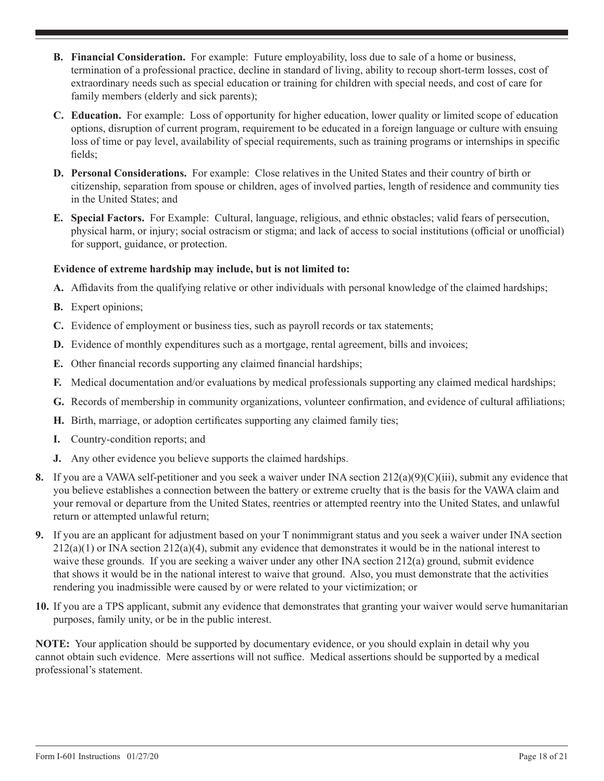- **B. Financial Consideration.** For example: Future employability, loss due to sale of a home or business, termination of a professional practice, decline in standard of living, ability to recoup short-term losses, cost of extraordinary needs such as special education or training for children with special needs, and cost of care for family members (elderly and sick parents);
- **C. Education.** For example: Loss of opportunity for higher education, lower quality or limited scope of education options, disruption of current program, requirement to be educated in a foreign language or culture with ensuing loss of time or pay level, availability of special requirements, such as training programs or internships in specific fields;
- **D. Personal Considerations.** For example: Close relatives in the United States and their country of birth or citizenship, separation from spouse or children, ages of involved parties, length of residence and community ties in the United States; and
- **E. Special Factors.** For Example: Cultural, language, religious, and ethnic obstacles; valid fears of persecution, physical harm, or injury; social ostracism or stigma; and lack of access to social institutions (official or unofficial) for support, guidance, or protection.

# **Evidence of extreme hardship may include, but is not limited to:**

- **A.** Affidavits from the qualifying relative or other individuals with personal knowledge of the claimed hardships;
- **B.** Expert opinions;
- **C.** Evidence of employment or business ties, such as payroll records or tax statements;
- **D.** Evidence of monthly expenditures such as a mortgage, rental agreement, bills and invoices;
- **E.** Other financial records supporting any claimed financial hardships;
- **F.** Medical documentation and/or evaluations by medical professionals supporting any claimed medical hardships;
- **G.** Records of membership in community organizations, volunteer confirmation, and evidence of cultural affiliations;
- **H.** Birth, marriage, or adoption certificates supporting any claimed family ties;
- **I.** Country-condition reports; and
- **J.** Any other evidence you believe supports the claimed hardships.
- **8.** If you are a VAWA self-petitioner and you seek a waiver under INA section 212(a)(9)(C)(iii), submit any evidence that you believe establishes a connection between the battery or extreme cruelty that is the basis for the VAWA claim and your removal or departure from the United States, reentries or attempted reentry into the United States, and unlawful return or attempted unlawful return;
- **9.** If you are an applicant for adjustment based on your T nonimmigrant status and you seek a waiver under INA section  $212(a)(1)$  or INA section  $212(a)(4)$ , submit any evidence that demonstrates it would be in the national interest to waive these grounds. If you are seeking a waiver under any other INA section 212(a) ground, submit evidence that shows it would be in the national interest to waive that ground. Also, you must demonstrate that the activities rendering you inadmissible were caused by or were related to your victimization; or
- **10.** If you are a TPS applicant, submit any evidence that demonstrates that granting your waiver would serve humanitarian purposes, family unity, or be in the public interest.

**NOTE:** Your application should be supported by documentary evidence, or you should explain in detail why you cannot obtain such evidence. Mere assertions will not suffice. Medical assertions should be supported by a medical professional's statement.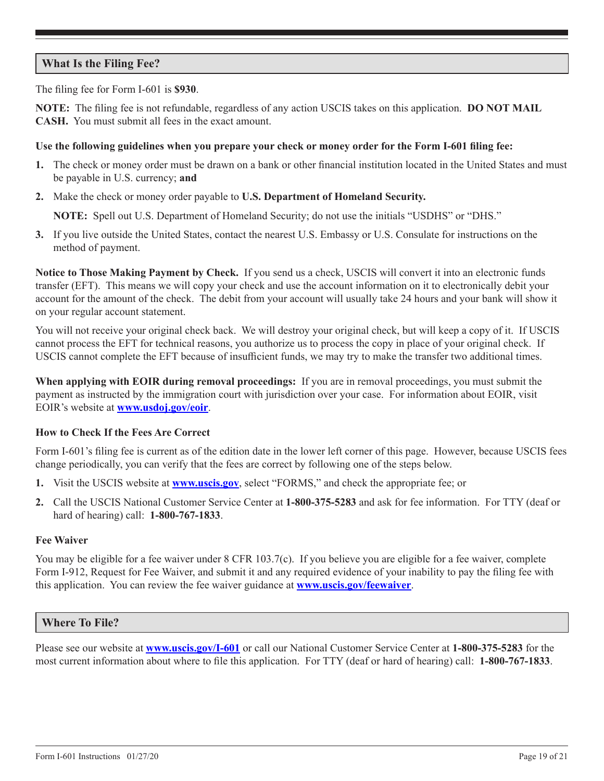# **What Is the Filing Fee?**

The filing fee for Form I-601 is **\$930**.

**NOTE:** The filing fee is not refundable, regardless of any action USCIS takes on this application. **DO NOT MAIL CASH.** You must submit all fees in the exact amount.

#### **Use the following guidelines when you prepare your check or money order for the Form I-601 filing fee:**

- **1.** The check or money order must be drawn on a bank or other financial institution located in the United States and must be payable in U.S. currency; **and**
- **2.** Make the check or money order payable to **U.S. Department of Homeland Security.**

**NOTE:** Spell out U.S. Department of Homeland Security; do not use the initials "USDHS" or "DHS."

**3.** If you live outside the United States, contact the nearest U.S. Embassy or U.S. Consulate for instructions on the method of payment.

**Notice to Those Making Payment by Check.** If you send us a check, USCIS will convert it into an electronic funds transfer (EFT). This means we will copy your check and use the account information on it to electronically debit your account for the amount of the check. The debit from your account will usually take 24 hours and your bank will show it on your regular account statement.

You will not receive your original check back. We will destroy your original check, but will keep a copy of it. If USCIS cannot process the EFT for technical reasons, you authorize us to process the copy in place of your original check. If USCIS cannot complete the EFT because of insufficient funds, we may try to make the transfer two additional times.

**When applying with EOIR during removal proceedings:** If you are in removal proceedings, you must submit the payment as instructed by the immigration court with jurisdiction over your case. For information about EOIR, visit EOIR's website at **www.usdoj.gov/eoir**.

#### **How to Check If the Fees Are Correct**

Form I-601's filing fee is current as of the edition date in the lower left corner of this page. However, because USCIS fees change periodically, you can verify that the fees are correct by following one of the steps below.

- **1.** Visit the USCIS website at **www.uscis.gov**, select "FORMS," and check the appropriate fee; or
- **2.** Call the USCIS National Customer Service Center at **1-800-375-5283** and ask for fee information. For TTY (deaf or hard of hearing) call: **1-800-767-1833**.

#### **Fee Waiver**

You may be eligible for a fee waiver under 8 CFR 103.7(c). If you believe you are eligible for a fee waiver, complete Form I-912, Request for Fee Waiver, and submit it and any required evidence of your inability to pay the filing fee with this application. You can review the fee waiver guidance at **www.uscis.gov/feewaiver**.

#### **Where To File?**

Please see our website at **www.uscis.gov/I-601** or call our National Customer Service Center at **1-800-375-5283** for the most current information about where to file this application. For TTY (deaf or hard of hearing) call: **1-800-767-1833**.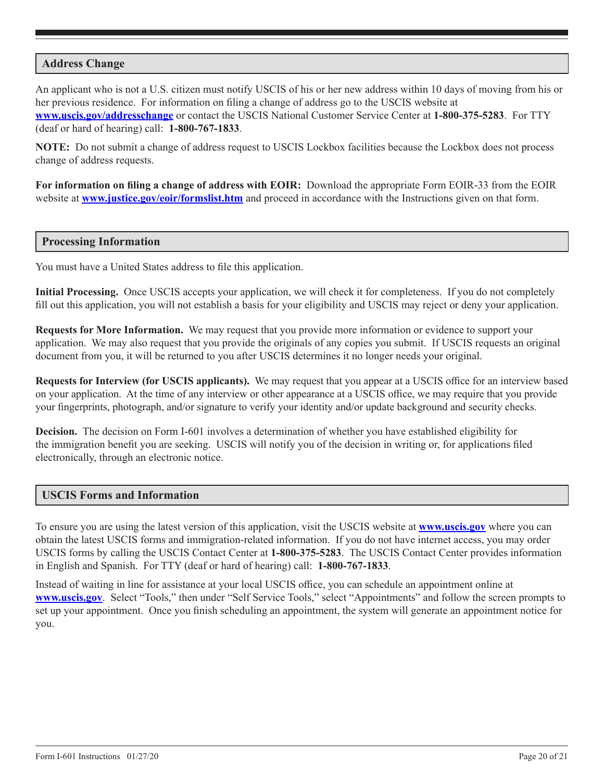### **Address Change**

An applicant who is not a U.S. citizen must notify USCIS of his or her new address within 10 days of moving from his or her previous residence. For information on filing a change of address go to the USCIS website at **www.uscis.gov/addresschange** or contact the USCIS National Customer Service Center at **1-800-375-5283**. For TTY (deaf or hard of hearing) call: **1-800-767-1833**.

**NOTE:** Do not submit a change of address request to USCIS Lockbox facilities because the Lockbox does not process change of address requests.

**For information on filing a change of address with EOIR:** Download the appropriate Form EOIR-33 from the EOIR website at **www.justice.gov/eoir/formslist.htm** and proceed in accordance with the Instructions given on that form.

#### **Processing Information**

You must have a United States address to file this application.

**Initial Processing.** Once USCIS accepts your application, we will check it for completeness. If you do not completely fill out this application, you will not establish a basis for your eligibility and USCIS may reject or deny your application.

**Requests for More Information.** We may request that you provide more information or evidence to support your application. We may also request that you provide the originals of any copies you submit. If USCIS requests an original document from you, it will be returned to you after USCIS determines it no longer needs your original.

**Requests for Interview (for USCIS applicants).** We may request that you appear at a USCIS office for an interview based on your application. At the time of any interview or other appearance at a USCIS office, we may require that you provide your fingerprints, photograph, and/or signature to verify your identity and/or update background and security checks.

**Decision.** The decision on Form I-601 involves a determination of whether you have established eligibility for the immigration benefit you are seeking. USCIS will notify you of the decision in writing or, for applications filed electronically, through an electronic notice.

#### **USCIS Forms and Information**

To ensure you are using the latest version of this application, visit the USCIS website at **www.uscis.gov** where you can obtain the latest USCIS forms and immigration-related information. If you do not have internet access, you may order USCIS forms by calling the USCIS Contact Center at **1-800-375-5283**. The USCIS Contact Center provides information in English and Spanish. For TTY (deaf or hard of hearing) call: **1-800-767-1833**.

Instead of waiting in line for assistance at your local USCIS office, you can schedule an appointment online at **www.uscis.gov**. Select "Tools," then under "Self Service Tools," select "Appointments" and follow the screen prompts to set up your appointment. Once you finish scheduling an appointment, the system will generate an appointment notice for you.